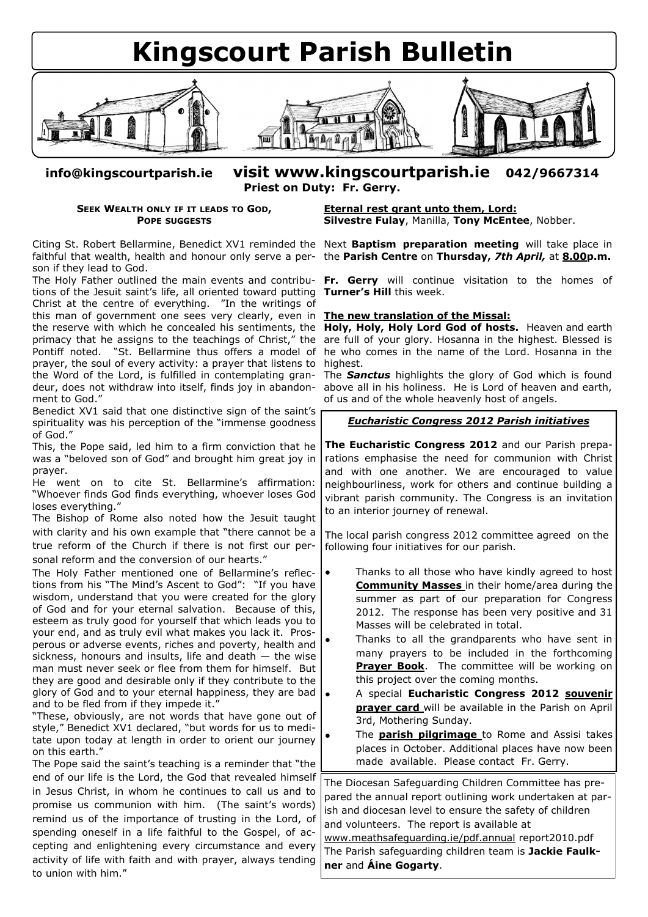

**info@kingscourtparish.ie visit www.kingscourtparish.ie 042/9667314 Priest on Duty: Fr. Gerry.**

## **SEEK WEALTH ONLY IF IT LEADS TO GOD, POPE SUGGESTS**

son if they lead to God.

The Holy Father outlined the main events and contributions of the Jesuit saint's life, all oriented toward putting Christ at the centre of everything. "In the writings of this man of government one sees very clearly, even in the reserve with which he concealed his sentiments, the Pontiff noted. "St. Bellarmine thus offers a model of prayer, the soul of every activity: a prayer that listens to the Word of the Lord, is fulfilled in contemplating grandeur, does not withdraw into itself, finds joy in abandonment to God."

Benedict XV1 said that one distinctive sign of the saint's spirituality was his perception of the "immense goodness of God."

This, the Pope said, led him to a firm conviction that he was a "beloved son of God" and brought him great joy in prayer.

He went on to cite St. Bellarmine's affirmation: "Whoever finds God finds everything, whoever loses God loses everything."

The Bishop of Rome also noted how the Jesuit taught with clarity and his own example that "there cannot be a true reform of the Church if there is not first our personal reform and the conversion of our hearts."

The Holy Father mentioned one of Bellarmine's reflections from his "The Mind's Ascent to God": "If you have wisdom, understand that you were created for the glory of God and for your eternal salvation. Because of this, esteem as truly good for yourself that which leads you to your end, and as truly evil what makes you lack it. Prosperous or adverse events, riches and poverty, health and sickness, honours and insults, life and death  $-$  the wise man must never seek or flee from them for himself. But they are good and desirable only if they contribute to the glory of God and to your eternal happiness, they are bad and to be fled from if they impede it."

"These, obviously, are not words that have gone out of style," Benedict XV1 declared, "but words for us to meditate upon today at length in order to orient our journey on this earth."

The Pope said the saint's teaching is a reminder that "the end of our life is the Lord, the God that revealed himself in Jesus Christ, in whom he continues to call us and to promise us communion with him. (The saint's words) remind us of the importance of trusting in the Lord, of spending oneself in a life faithful to the Gospel, of accepting and enlightening every circumstance and every activity of life with faith and with prayer, always tending to union with him."

**Eternal rest grant unto them, Lord: Silvestre Fulay**, Manilla, **Tony McEntee**, Nobber.

Citing St. Robert Bellarmine, Benedict XV1 reminded the Next **Baptism preparation meeting** will take place in faithful that wealth, health and honour only serve a per-the **Parish Centre** on **Thursday,** *7th April,* at **8.00p.m.** 

> **Fr. Gerry** will continue visitation to the homes of **Turner's Hill** this week.

## **The new translation of the Missal:**

primacy that he assigns to the teachings of Christ," the are full of your glory. Hosanna in the highest. Blessed is **Holy, Holy, Holy Lord God of hosts.** Heaven and earth he who comes in the name of the Lord. Hosanna in the highest.

The *Sanctus* highlights the glory of God which is found above all in his holiness. He is Lord of heaven and earth, of us and of the whole heavenly host of angels.

## *Eucharistic Congress 2012 Parish initiatives*

**The Eucharistic Congress 2012** and our Parish preparations emphasise the need for communion with Christ and with one another. We are encouraged to value neighbourliness, work for others and continue building a vibrant parish community. The Congress is an invitation to an interior journey of renewal.

The local parish congress 2012 committee agreed on the following four initiatives for our parish.

- Thanks to all those who have kindly agreed to host **Community Masses** in their home/area during the summer as part of our preparation for Congress 2012. The response has been very positive and 31 Masses will be celebrated in total.
- Thanks to all the grandparents who have sent in many prayers to be included in the forthcoming **Prayer Book**. The committee will be working on this project over the coming months.
- A special **Eucharistic Congress 2012 souvenir prayer card** will be available in the Parish on April 3rd, Mothering Sunday.
- The **parish pilgrimage** to Rome and Assisi takes places in October. Additional places have now been made available. Please contact Fr. Gerry.

The Diocesan Safeguarding Children Committee has prepared the annual report outlining work undertaken at parish and diocesan level to ensure the safety of children and volunteers. The report is available at [www.meathsafeguarding.ie/pdf.annual](http://www.meathsafeguarding.ie/pdf.annual) report2010.pdf The Parish safeguarding children team is **Jackie Faulkner** and **Áine Gogarty**.